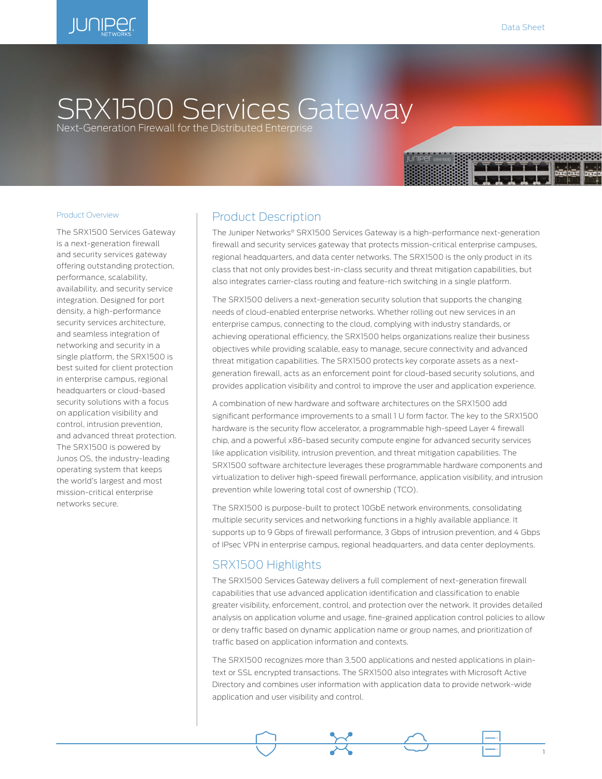

# SRX1500 Services Gateway

Next-Generation Firewall for the Distributed Enterprise

The SRX1500 Services Gateway is a next-generation firewall and security services gateway offering outstanding protection, performance, scalability, availability, and security service integration. Designed for port density, a high-performance security services architecture, and seamless integration of networking and security in a single platform, the SRX1500 is best suited for client protection in enterprise campus, regional headquarters or cloud-based security solutions with a focus on application visibility and control, intrusion prevention, and advanced threat protection. The SRX1500 is powered by Junos OS, the industry-leading operating system that keeps the world's largest and most mission-critical enterprise networks secure.

## Product Description

The Juniper Networks® SRX1500 Services Gateway is a high-performance next-generation firewall and security services gateway that protects mission-critical enterprise campuses, regional headquarters, and data center networks. The SRX1500 is the only product in its class that not only provides best-in-class security and threat mitigation capabilities, but also integrates carrier-class routing and feature-rich switching in a single platform.

The SRX1500 delivers a next-generation security solution that supports the changing needs of cloud-enabled enterprise networks. Whether rolling out new services in an enterprise campus, connecting to the cloud, complying with industry standards, or achieving operational efficiency, the SRX1500 helps organizations realize their business objectives while providing scalable, easy to manage, secure connectivity and advanced threat mitigation capabilities. The SRX1500 protects key corporate assets as a nextgeneration firewall, acts as an enforcement point for cloud-based security solutions, and provides application visibility and control to improve the user and application experience.

A combination of new hardware and software architectures on the SRX1500 add significant performance improvements to a small 1 U form factor. The key to the SRX1500 hardware is the security flow accelerator, a programmable high-speed Layer 4 firewall chip, and a powerful x86-based security compute engine for advanced security services like application visibility, intrusion prevention, and threat mitigation capabilities. The SRX1500 software architecture leverages these programmable hardware components and virtualization to deliver high-speed firewall performance, application visibility, and intrusion prevention while lowering total cost of ownership (TCO).

The SRX1500 is purpose-built to protect 10GbE network environments, consolidating multiple security services and networking functions in a highly available appliance. It supports up to 9 Gbps of firewall performance, 3 Gbps of intrusion prevention, and 4 Gbps of IPsec VPN in enterprise campus, regional headquarters, and data center deployments.

## SRX1500 Highlights

The SRX1500 Services Gateway delivers a full complement of next-generation firewall capabilities that use advanced application identification and classification to enable greater visibility, enforcement, control, and protection over the network. It provides detailed analysis on application volume and usage, fine-grained application control policies to allow or deny traffic based on dynamic application name or group names, and prioritization of traffic based on application information and contexts.

The SRX1500 recognizes more than 3,500 applications and nested applications in plaintext or SSL encrypted transactions. The SRX1500 also integrates with Microsoft Active Directory and combines user information with application data to provide network-wide application and user visibility and control.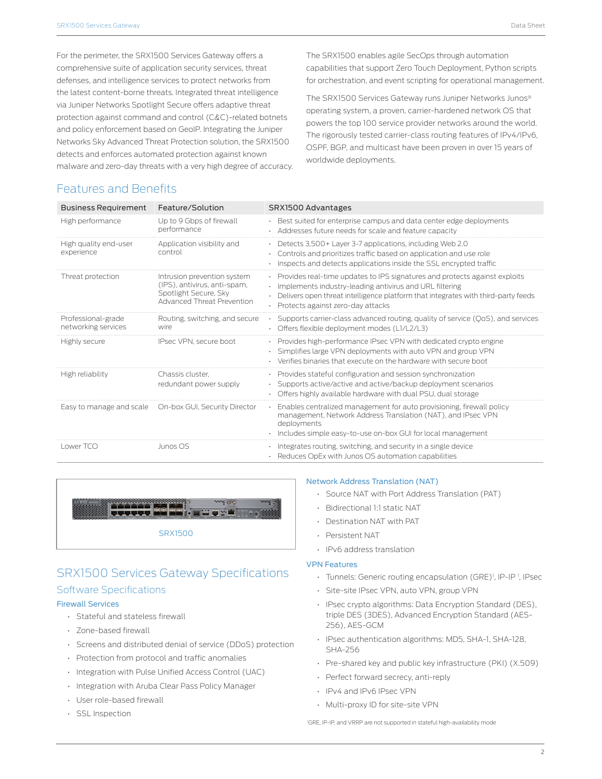For the perimeter, the SRX1500 Services Gateway offers a comprehensive suite of application security services, threat defenses, and intelligence services to protect networks from the latest content-borne threats. Integrated threat intelligence via Juniper Networks Spotlight Secure offers adaptive threat protection against command and control (C&C)-related botnets and policy enforcement based on GeoIP. Integrating the Juniper Networks Sky Advanced Threat Protection solution, the SRX1500 detects and enforces automated protection against known malware and zero-day threats with a very high degree of accuracy. The SRX1500 enables agile SecOps through automation capabilities that support Zero Touch Deployment, Python scripts for orchestration, and event scripting for operational management.

The SRX1500 Services Gateway runs Juniper Networks Junos® operating system, a proven, carrier-hardened network OS that powers the top 100 service provider networks around the world. The rigorously tested carrier-class routing features of IPv4/IPv6, OSPF, BGP, and multicast have been proven in over 15 years of worldwide deployments.

# Features and Benefits

| <b>Business Requirement</b>               | Feature/Solution                                                                                                          | SRX1500 Advantages                                                                                                                                                                                                                                                      |
|-------------------------------------------|---------------------------------------------------------------------------------------------------------------------------|-------------------------------------------------------------------------------------------------------------------------------------------------------------------------------------------------------------------------------------------------------------------------|
| High performance                          | Up to 9 Gbps of firewall<br>performance                                                                                   | · Best suited for enterprise campus and data center edge deployments<br>· Addresses future needs for scale and feature capacity                                                                                                                                         |
| High quality end-user<br>experience       | Application visibility and<br>control                                                                                     | • Detects 3,500 + Layer 3-7 applications, including Web 2.0<br>Controls and prioritizes traffic based on application and use role<br>Inspects and detects applications inside the SSL encrypted traffic                                                                 |
| Threat protection                         | Intrusion prevention system<br>(IPS), antivirus, anti-spam,<br>Spotlight Secure, Sky<br><b>Advanced Threat Prevention</b> | · Provides real-time updates to IPS signatures and protects against exploits<br>· Implements industry-leading antivirus and URL filtering<br>. Delivers open threat intelligence platform that integrates with third-party feeds<br>· Protects against zero-day attacks |
| Professional-grade<br>networking services | Routing, switching, and secure<br>wire                                                                                    | • Supports carrier-class advanced routing, quality of service (QoS), and services<br>· Offers flexible deployment modes (L1/L2/L3)                                                                                                                                      |
| Highly secure                             | IPsec VPN, secure boot                                                                                                    | • Provides high-performance IPsec VPN with dedicated crypto engine<br>· Simplifies large VPN deployments with auto VPN and group VPN<br>Verifies binaries that execute on the hardware with secure boot                                                                 |
| High reliability                          | Chassis cluster.<br>redundant power supply                                                                                | • Provides stateful configuration and session synchronization<br>· Supports active/active and active/backup deployment scenarios<br>• Offers highly available hardware with dual PSU, dual storage                                                                      |
| Easy to manage and scale                  | On-box GUI, Security Director                                                                                             | Enables centralized management for auto provisioning, firewall policy<br>management, Network Address Translation (NAT), and IPsec VPN<br>deployments<br>· Includes simple easy-to-use on-box GUI for local management                                                   |
| Lower TCO                                 | Junos OS                                                                                                                  | · Integrates routing, switching, and security in a single device<br>· Reduces OpEx with Junos OS automation capabilities                                                                                                                                                |



# SRX1500 Services Gateway Specifications Software Specifications

#### Firewall Services

- Stateful and stateless firewall
- Zone-based firewall
- Screens and distributed denial of service (DDoS) protection
- Protection from protocol and traffic anomalies
- Integration with Pulse Unified Access Control (UAC)
- Integration with Aruba Clear Pass Policy Manager
- User role-based firewall
- SSL Inspection

#### Network Address Translation (NAT)

- Source NAT with Port Address Translation (PAT)
- Bidirectional 1:1 static NAT
- Destination NAT with PAT
- Persistent NAT
- IPv6 address translation

#### VPN Features

- Tunnels: Generic routing encapsulation (GRE)<sup>1</sup>, IP-IP<sup>1</sup>, IPsec
- Site-site IPsec VPN, auto VPN, group VPN
- IPsec crypto algorithms: Data Encryption Standard (DES), triple DES (3DES), Advanced Encryption Standard (AES-256), AES-GCM
- IPsec authentication algorithms: MD5, SHA-1, SHA-128, SHA-256
- Pre-shared key and public key infrastructure (PKI) (X.509)
- Perfect forward secrecy, anti-reply
- IPv4 and IPv6 IPsec VPN
- Multi-proxy ID for site-site VPN

1 GRE, IP-IP, and VRRP are not supported in stateful high-availability mode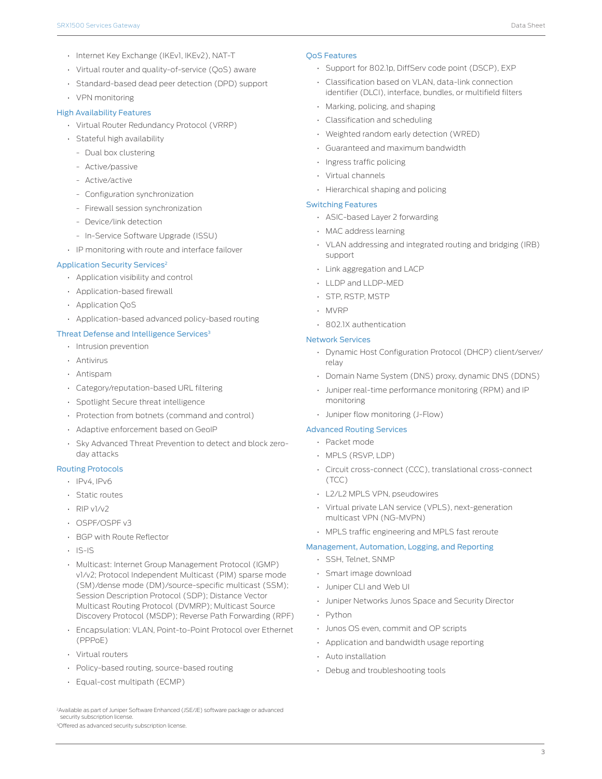- Internet Key Exchange (IKEv1, IKEv2), NAT-T
- Virtual router and quality-of-service (QoS) aware
- Standard-based dead peer detection (DPD) support • VPN monitoring

#### High Availability Features

- Virtual Router Redundancy Protocol (VRRP)
- Stateful high availability
	- Dual box clustering
	- Active/passive
	- Active/active
	- Configuration synchronization
	- Firewall session synchronization
	- Device/link detection
	- In-Service Software Upgrade (ISSU)
- IP monitoring with route and interface failover

#### Application Security Services<sup>2</sup>

- Application visibility and control
- Application-based firewall
- Application QoS
- Application-based advanced policy-based routing

#### Threat Defense and Intelligence Services<sup>3</sup>

- Intrusion prevention
- Antivirus
- Antispam
- Category/reputation-based URL filtering
- Spotlight Secure threat intelligence
- Protection from botnets (command and control)
- Adaptive enforcement based on GeoIP
- Sky Advanced Threat Prevention to detect and block zeroday attacks

#### Routing Protocols

- IPv4, IPv6
- Static routes
- RIP v1/v2
- OSPF/OSPF v3
- BGP with Route Reflector
- $|S |S$
- Multicast: Internet Group Management Protocol (IGMP) v1/v2; Protocol Independent Multicast (PIM) sparse mode (SM)/dense mode (DM)/source-specific multicast (SSM); Session Description Protocol (SDP); Distance Vector Multicast Routing Protocol (DVMRP); Multicast Source Discovery Protocol (MSDP); Reverse Path Forwarding (RPF)
- Encapsulation: VLAN, Point-to-Point Protocol over Ethernet (PPPoE)
- Virtual routers
- Policy-based routing, source-based routing
- Equal-cost multipath (ECMP)

#### QoS Features

- Support for 802.1p, DiffServ code point (DSCP), EXP
- Classification based on VLAN, data-link connection identifier (DLCI), interface, bundles, or multifield filters
- Marking, policing, and shaping
- Classification and scheduling
- Weighted random early detection (WRED)
- Guaranteed and maximum bandwidth
- Ingress traffic policing
- Virtual channels
- Hierarchical shaping and policing

#### Switching Features

- ASIC-based Layer 2 forwarding
- MAC address learning
- VLAN addressing and integrated routing and bridging (IRB) support
- Link aggregation and LACP
- LLDP and LLDP-MED
- STP, RSTP, MSTP
- MVRP
- 802.1X authentication

#### Network Services

- Dynamic Host Configuration Protocol (DHCP) client/server/ relay
- Domain Name System (DNS) proxy, dynamic DNS (DDNS)
- Juniper real-time performance monitoring (RPM) and IP monitoring
- Juniper flow monitoring (J-Flow)

#### Advanced Routing Services

- Packet mode
- MPLS (RSVP, LDP)
- Circuit cross-connect (CCC), translational cross-connect (TCC)
- L2/L2 MPLS VPN, pseudowires
- Virtual private LAN service (VPLS), next-generation multicast VPN (NG-MVPN)
- MPLS traffic engineering and MPLS fast reroute

#### Management, Automation, Logging, and Reporting

- SSH, Telnet, SNMP
- Smart image download
- Juniper CLI and Web UI
- Juniper Networks Junos Space and Security Director
- Python
- Junos OS even, commit and OP scripts
- Application and bandwidth usage reporting
- Auto installation
- Debug and troubleshooting tools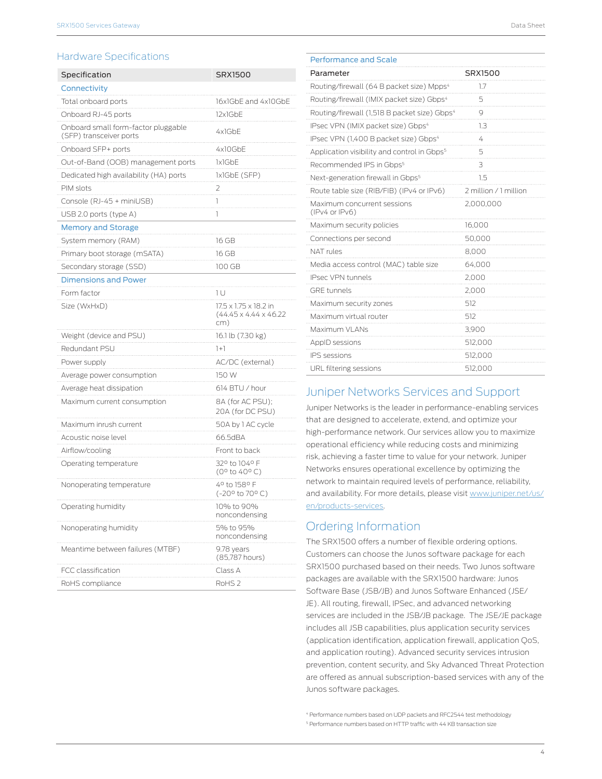### Hardware Specifications

| Specification                                                  | SRX1500                                                            |  |
|----------------------------------------------------------------|--------------------------------------------------------------------|--|
| Connectivity                                                   |                                                                    |  |
| Total onboard ports                                            | 16x1GbE and 4x10GbE                                                |  |
| Onboard RJ-45 ports                                            | 12x1GbE                                                            |  |
| Onboard small form-factor pluggable<br>(SFP) transceiver ports | 4x1GbE                                                             |  |
| Onboard SFP+ ports                                             | 4x10GbE                                                            |  |
| Out-of-Band (OOB) management ports                             | 1x1GbE                                                             |  |
| Dedicated high availability (HA) ports                         | 1x1GbE (SFP)                                                       |  |
| PIM slots                                                      | 2                                                                  |  |
| Console (RJ-45 + miniUSB)                                      | 1                                                                  |  |
| USB 2.0 ports (type A)                                         | 1                                                                  |  |
| Memory and Storage                                             |                                                                    |  |
| System memory (RAM)                                            | 16 GB                                                              |  |
| Primary boot storage (mSATA)                                   | 16 GB                                                              |  |
| Secondary storage (SSD)                                        | 100 GB                                                             |  |
| <b>Dimensions and Power</b>                                    |                                                                    |  |
| Form factor                                                    | 1 U                                                                |  |
| Size (WxHxD)                                                   | 17.5 x 1.75 x 18.2 in<br>$(44.45 \times 4.44 \times 46.22)$<br>cm) |  |
| Weight (device and PSU)                                        | 16.1 lb (7.30 kg)                                                  |  |
| Redundant PSU                                                  | $^{1+1}$                                                           |  |
| Power supply                                                   | AC/DC (external)                                                   |  |
| Average power consumption                                      | 150 W                                                              |  |
| Average heat dissipation                                       | 614 BTU / hour                                                     |  |
| Maximum current consumption                                    | 8A (for AC PSU);<br>20A (for DC PSU)                               |  |
| Maximum inrush current                                         | 50A by 1 AC cycle                                                  |  |
| Acoustic noise level                                           | 66.5dBA                                                            |  |
| Airflow/cooling                                                | Front to back                                                      |  |
| Operating temperature                                          | 32° to 104° F<br>$(0^{\circ}$ to 40°C)                             |  |
| Nonoperating temperature                                       | 4º to 158º F<br>(-20° to 70° C)                                    |  |
| Operating humidity                                             | 10% to 90%<br>noncondensing                                        |  |
| Nonoperating humidity                                          | 5% to 95%<br>noncondensing                                         |  |
| Meantime between failures (MTBF)                               | 9.78 years<br>(85,787 hours)                                       |  |
| FCC classification                                             | Class A                                                            |  |
| RoHS compliance                                                | RoHS <sub>2</sub>                                                  |  |

| <b>Performance and Scale</b>                             |                       |
|----------------------------------------------------------|-----------------------|
| Parameter                                                | SRX1500               |
| Routing/firewall (64 B packet size) Mpps <sup>4</sup>    | 1.7                   |
| Routing/firewall (IMIX packet size) Gbps <sup>4</sup>    | 5                     |
| Routing/firewall (1,518 B packet size) Gbps <sup>4</sup> | 9                     |
| IPsec VPN (IMIX packet size) Gbps <sup>4</sup>           | 1.3                   |
| IPsec VPN (1,400 B packet size) Gbps <sup>4</sup>        | 4                     |
| Application visibility and control in Gbps <sup>5</sup>  | 5                     |
| Recommended IPS in Gbps <sup>5</sup>                     | 3                     |
| Next-generation firewall in Gbps <sup>5</sup>            | 1.5                   |
| Route table size (RIB/FIB) (IPv4 or IPv6)                | 2 million / 1 million |
| Maximum concurrent sessions<br>(IPv4 or IPv6)            | 2,000,000             |
| Maximum security policies                                | 16,000                |
| Connections per second                                   | 50,000                |
| NAT rules                                                | 8,000                 |
| Media access control (MAC) table size                    | 64,000                |
| <b>IPsec VPN tunnels</b>                                 | 2,000                 |
| <b>GRE</b> tunnels                                       | 2,000                 |
| Maximum security zones                                   | 512                   |
| Maximum virtual router                                   | 512                   |
| Maximum VLANs                                            | 3,900                 |
| AppID sessions                                           | 512,000               |
| <b>IPS</b> sessions                                      | 512,000               |
| URL filtering sessions                                   | 512,000               |

## Juniper Networks Services and Support

Juniper Networks is the leader in performance-enabling services that are designed to accelerate, extend, and optimize your high-performance network. Our services allow you to maximize operational efficiency while reducing costs and minimizing risk, achieving a faster time to value for your network. Juniper Networks ensures operational excellence by optimizing the network to maintain required levels of performance, reliability, and availability. For more details, please visit [www.juniper.net/us/](http://www.juniper.net/us/en/products-services) [en/products-services](http://www.juniper.net/us/en/products-services).

# Ordering Information

The SRX1500 offers a number of flexible ordering options. Customers can choose the Junos software package for each SRX1500 purchased based on their needs. Two Junos software packages are available with the SRX1500 hardware: Junos Software Base (JSB/JB) and Junos Software Enhanced (JSE/ JE). All routing, firewall, IPSec, and advanced networking services are included in the JSB/JB package. The JSE/JE package includes all JSB capabilities, plus application security services (application identification, application firewall, application QoS, and application routing). Advanced security services intrusion prevention, content security, and Sky Advanced Threat Protection are offered as annual subscription-based services with any of the Junos software packages.

4 Performance numbers based on UDP packets and RFC2544 test methodology 5 Performance numbers based on HTTP traffic with 44 KB transaction size